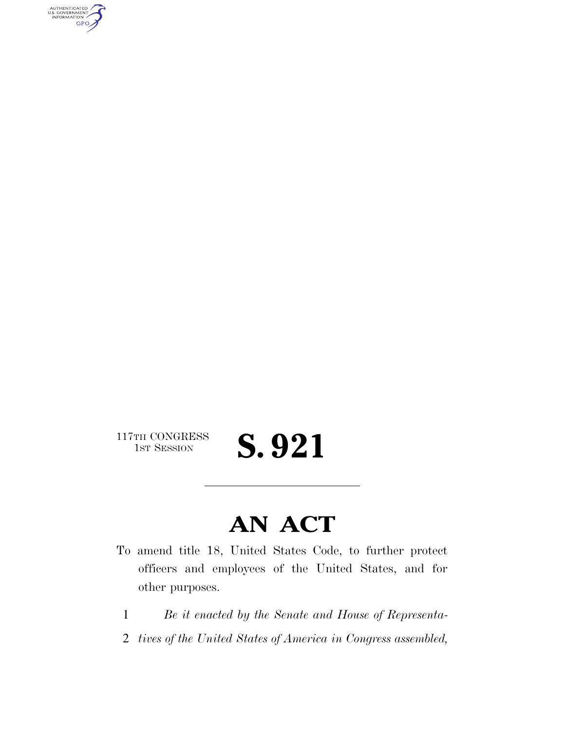AUTHENTICATED<br>U.S. GOVERNMENT<br>INFORMATION GPO

 $\begin{array}{c} \textbf{117TH CONGRESS} \\ \textbf{1ST SESION} \end{array}$ 

S. 921

## **AN ACT**

- To amend title 18, United States Code, to further protect officers and employees of the United States, and for other purposes.
	- 1 *Be it enacted by the Senate and House of Representa-*
	- 2 *tives of the United States of America in Congress assembled,*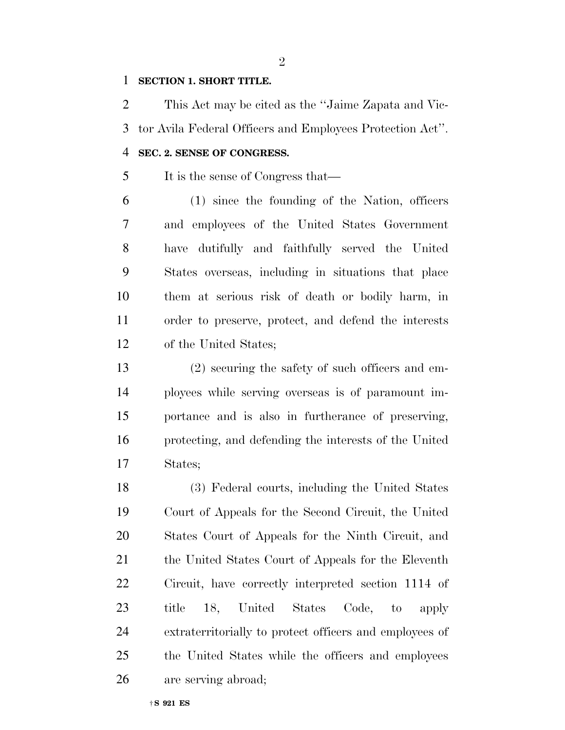## **SECTION 1. SHORT TITLE.**

 This Act may be cited as the ''Jaime Zapata and Vic- tor Avila Federal Officers and Employees Protection Act''. **SEC. 2. SENSE OF CONGRESS.** 

It is the sense of Congress that—

 (1) since the founding of the Nation, officers and employees of the United States Government have dutifully and faithfully served the United States overseas, including in situations that place them at serious risk of death or bodily harm, in order to preserve, protect, and defend the interests of the United States;

 (2) securing the safety of such officers and em- ployees while serving overseas is of paramount im- portance and is also in furtherance of preserving, protecting, and defending the interests of the United States;

 (3) Federal courts, including the United States Court of Appeals for the Second Circuit, the United States Court of Appeals for the Ninth Circuit, and 21 the United States Court of Appeals for the Eleventh Circuit, have correctly interpreted section 1114 of title 18, United States Code, to apply extraterritorially to protect officers and employees of the United States while the officers and employees are serving abroad;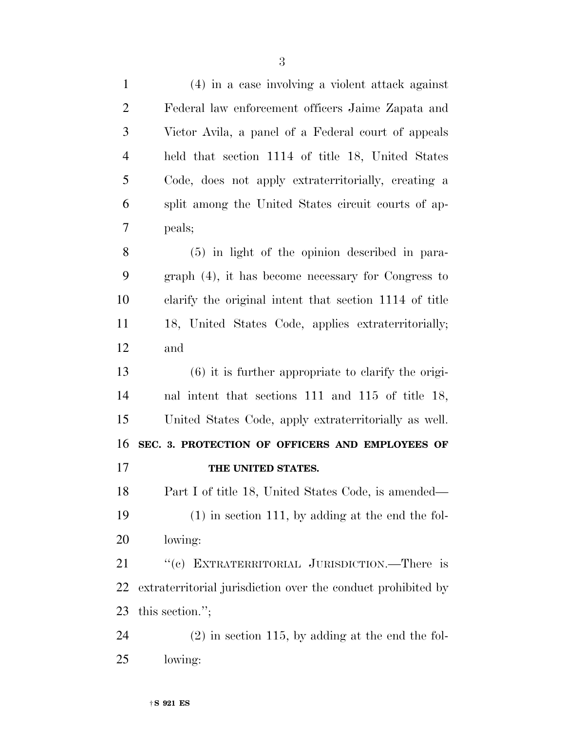| $\mathbf{1}$   | (4) in a case involving a violent attack against             |
|----------------|--------------------------------------------------------------|
| $\overline{2}$ | Federal law enforcement officers Jaime Zapata and            |
| 3              | Victor Avila, a panel of a Federal court of appeals          |
| $\overline{4}$ | held that section 1114 of title 18, United States            |
| 5              | Code, does not apply extraterritorially, creating a          |
| 6              | split among the United States circuit courts of ap-          |
| 7              | peals;                                                       |
| 8              | $(5)$ in light of the opinion described in para-             |
| 9              | $graph(4)$ , it has become necessary for Congress to         |
| 10             | clarify the original intent that section 1114 of title       |
| 11             | 18, United States Code, applies extraterritorially;          |
| 12             | and                                                          |
| 13             | $(6)$ it is further appropriate to clarify the origi-        |
| 14             | nal intent that sections 111 and 115 of title 18,            |
| 15             | United States Code, apply extraterritorially as well.        |
| 16             | SEC. 3. PROTECTION OF OFFICERS AND EMPLOYEES OF              |
| 17             | THE UNITED STATES.                                           |
| 18             | Part I of title 18, United States Code, is amended           |
| 19             | $(1)$ in section 111, by adding at the end the fol-          |
| <b>20</b>      | lowing:                                                      |
| 21             | "(c) EXTRATERRITORIAL JURISDICTION.—There is                 |
| <u>22</u>      | extraterritorial jurisdiction over the conduct prohibited by |
| 23             | this section.";                                              |
| 24             | $(2)$ in section 115, by adding at the end the fol-          |
| 25             | lowing:                                                      |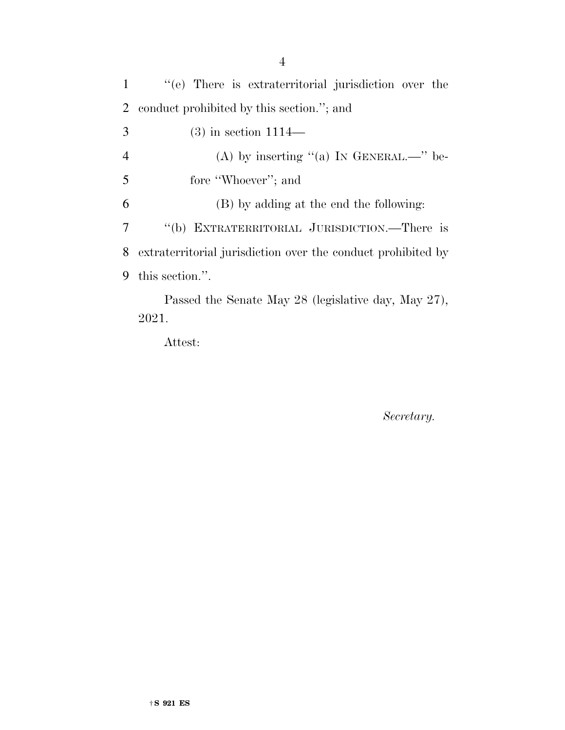''(e) There is extraterritorial jurisdiction over the conduct prohibited by this section.''; and (3) in section 1114— 4 (A) by inserting "(a) IN GENERAL.—" be-5 fore "Whoever"; and (B) by adding at the end the following: ''(b) EXTRATERRITORIAL JURISDICTION.—There is extraterritorial jurisdiction over the conduct prohibited by this section.''. Passed the Senate May 28 (legislative day, May 27), 2021.

Attest:

*Secretary.*